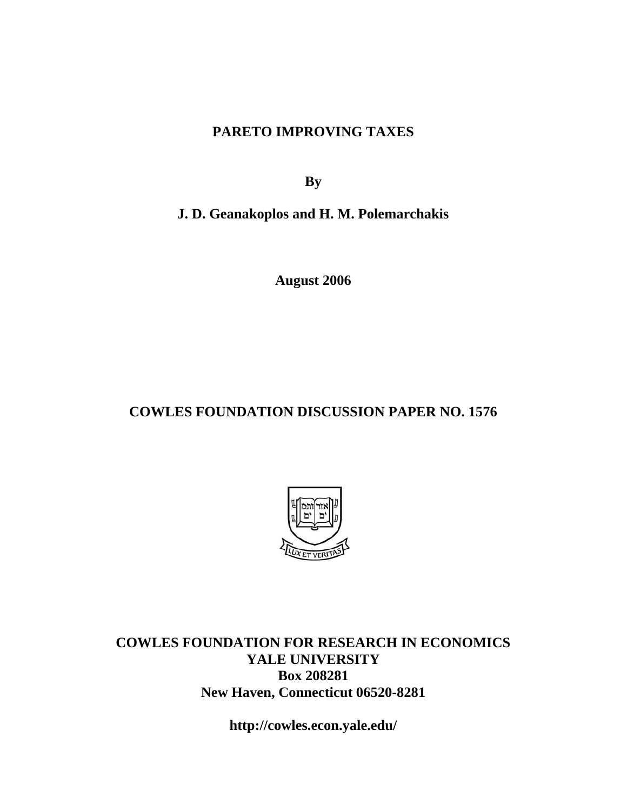# **PARETO IMPROVING TAXES**

**By** 

**J. D. Geanakoplos and H. M. Polemarchakis** 

**August 2006** 

# **COWLES FOUNDATION DISCUSSION PAPER NO. 1576**



**COWLES FOUNDATION FOR RESEARCH IN ECONOMICS YALE UNIVERSITY Box 208281 New Haven, Connecticut 06520-8281** 

**http://cowles.econ.yale.edu/**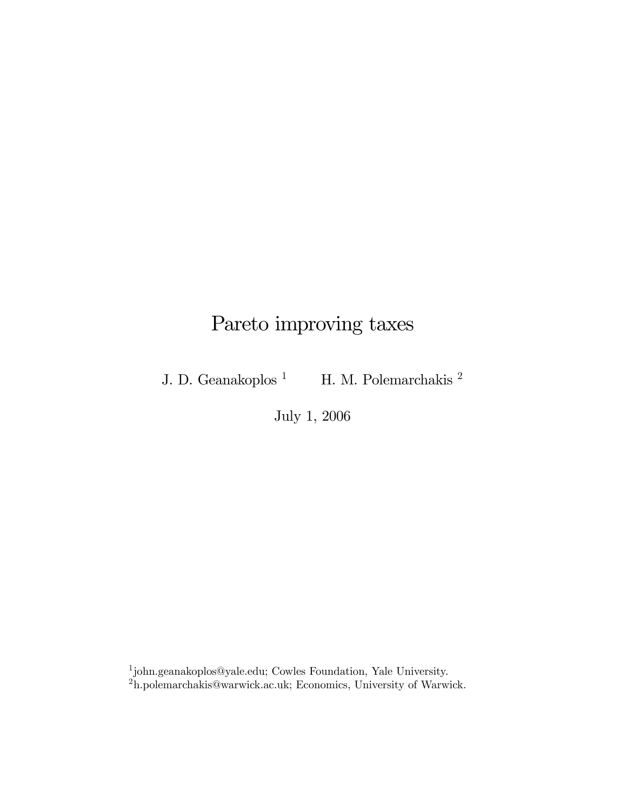# Pareto improving taxes

J. D. Geanakoplos $^1$   $\qquad$  H. M. Polemarchakis  $^2$ 

July 1, 2006

<sup>1</sup>john.geanakoplos@yale.edu; Cowles Foundation, Yale University.

 ${}^{2}$ h.polemarchakis@warwick.ac.uk; Economics, University of Warwick.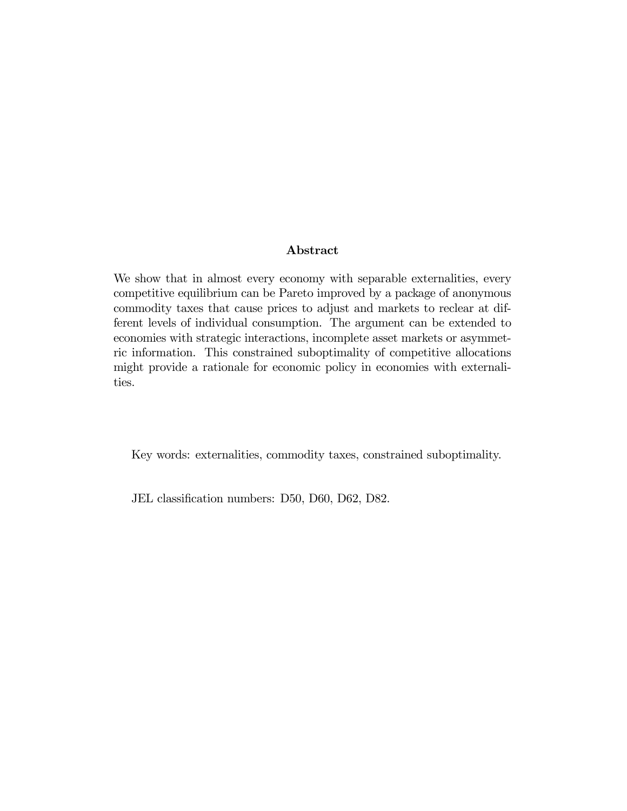#### Abstract

We show that in almost every economy with separable externalities, every competitive equilibrium can be Pareto improved by a package of anonymous commodity taxes that cause prices to adjust and markets to reclear at different levels of individual consumption. The argument can be extended to economies with strategic interactions, incomplete asset markets or asymmetric information. This constrained suboptimality of competitive allocations might provide a rationale for economic policy in economies with externalities.

Key words: externalities, commodity taxes, constrained suboptimality.

JEL classification numbers: D50, D60, D62, D82.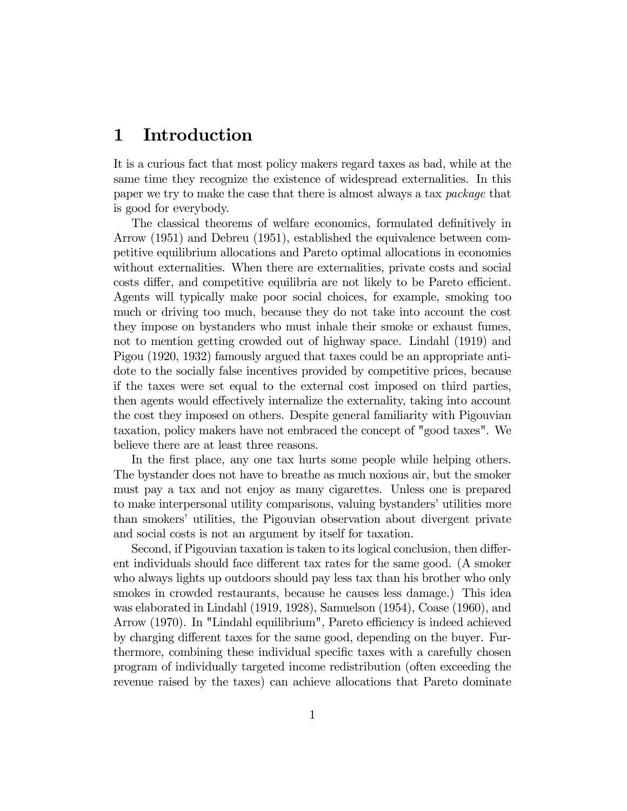# 1 Introduction

It is a curious fact that most policy makers regard taxes as bad, while at the same time they recognize the existence of widespread externalities. In this paper we try to make the case that there is almost always a tax package that is good for everybody.

The classical theorems of welfare economics, formulated definitively in Arrow (1951) and Debreu (1951), established the equivalence between competitive equilibrium allocations and Pareto optimal allocations in economies without externalities. When there are externalities, private costs and social costs differ, and competitive equilibria are not likely to be Pareto efficient. Agents will typically make poor social choices, for example, smoking too much or driving too much, because they do not take into account the cost they impose on bystanders who must inhale their smoke or exhaust fumes, not to mention getting crowded out of highway space. Lindahl (1919) and Pigou (1920, 1932) famously argued that taxes could be an appropriate antidote to the socially false incentives provided by competitive prices, because if the taxes were set equal to the external cost imposed on third parties, then agents would effectively internalize the externality, taking into account the cost they imposed on others. Despite general familiarity with Pigouvian taxation, policy makers have not embraced the concept of "good taxes". We believe there are at least three reasons.

In the first place, any one tax hurts some people while helping others. The bystander does not have to breathe as much noxious air, but the smoker must pay a tax and not enjoy as many cigarettes. Unless one is prepared to make interpersonal utility comparisons, valuing bystanders' utilities more than smokers' utilities, the Pigouvian observation about divergent private and social costs is not an argument by itself for taxation.

Second, if Pigouvian taxation is taken to its logical conclusion, then different individuals should face different tax rates for the same good. (A smoker who always lights up outdoors should pay less tax than his brother who only smokes in crowded restaurants, because he causes less damage.) This idea was elaborated in Lindahl (1919, 1928), Samuelson (1954), Coase (1960), and Arrow (1970). In "Lindahl equilibrium", Pareto efficiency is indeed achieved by charging different taxes for the same good, depending on the buyer. Furthermore, combining these individual specific taxes with a carefully chosen program of individually targeted income redistribution (often exceeding the revenue raised by the taxes) can achieve allocations that Pareto dominate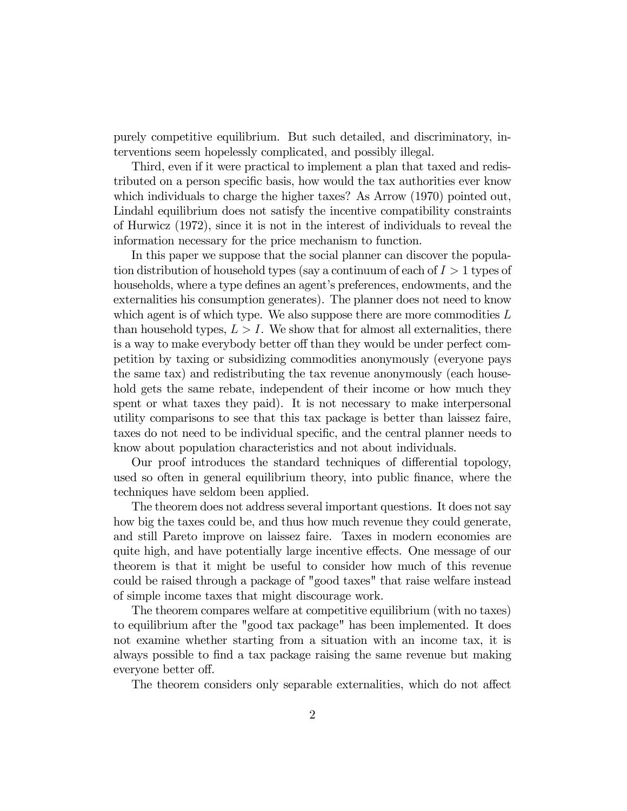purely competitive equilibrium. But such detailed, and discriminatory, interventions seem hopelessly complicated, and possibly illegal.

Third, even if it were practical to implement a plan that taxed and redistributed on a person specific basis, how would the tax authorities ever know which individuals to charge the higher taxes? As Arrow (1970) pointed out, Lindahl equilibrium does not satisfy the incentive compatibility constraints of Hurwicz (1972), since it is not in the interest of individuals to reveal the information necessary for the price mechanism to function.

In this paper we suppose that the social planner can discover the population distribution of household types (say a continuum of each of  $I > 1$  types of households, where a type defines an agent's preferences, endowments, and the externalities his consumption generates). The planner does not need to know which agent is of which type. We also suppose there are more commodities  $L$ than household types,  $L > I$ . We show that for almost all externalities, there is a way to make everybody better off than they would be under perfect competition by taxing or subsidizing commodities anonymously (everyone pays the same tax) and redistributing the tax revenue anonymously (each household gets the same rebate, independent of their income or how much they spent or what taxes they paid). It is not necessary to make interpersonal utility comparisons to see that this tax package is better than laissez faire, taxes do not need to be individual specific, and the central planner needs to know about population characteristics and not about individuals.

Our proof introduces the standard techniques of differential topology, used so often in general equilibrium theory, into public finance, where the techniques have seldom been applied.

The theorem does not address several important questions. It does not say how big the taxes could be, and thus how much revenue they could generate, and still Pareto improve on laissez faire. Taxes in modern economies are quite high, and have potentially large incentive effects. One message of our theorem is that it might be useful to consider how much of this revenue could be raised through a package of "good taxes" that raise welfare instead of simple income taxes that might discourage work.

The theorem compares welfare at competitive equilibrium (with no taxes) to equilibrium after the "good tax package" has been implemented. It does not examine whether starting from a situation with an income tax, it is always possible to find a tax package raising the same revenue but making everyone better off.

The theorem considers only separable externalities, which do not affect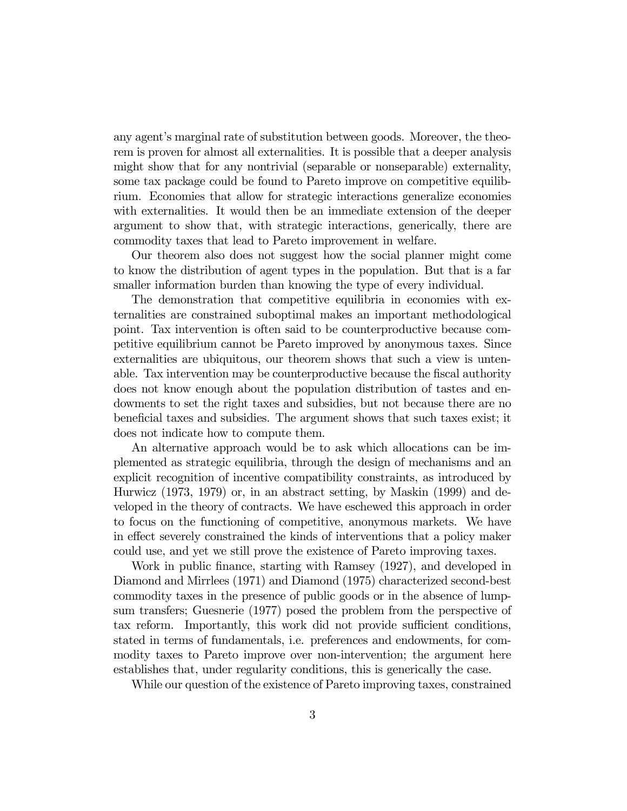any agent's marginal rate of substitution between goods. Moreover, the theorem is proven for almost all externalities. It is possible that a deeper analysis might show that for any nontrivial (separable or nonseparable) externality, some tax package could be found to Pareto improve on competitive equilibrium. Economies that allow for strategic interactions generalize economies with externalities. It would then be an immediate extension of the deeper argument to show that, with strategic interactions, generically, there are commodity taxes that lead to Pareto improvement in welfare.

Our theorem also does not suggest how the social planner might come to know the distribution of agent types in the population. But that is a far smaller information burden than knowing the type of every individual.

The demonstration that competitive equilibria in economies with externalities are constrained suboptimal makes an important methodological point. Tax intervention is often said to be counterproductive because competitive equilibrium cannot be Pareto improved by anonymous taxes. Since externalities are ubiquitous, our theorem shows that such a view is untenable. Tax intervention may be counterproductive because the fiscal authority does not know enough about the population distribution of tastes and endowments to set the right taxes and subsidies, but not because there are no beneficial taxes and subsidies. The argument shows that such taxes exist; it does not indicate how to compute them.

An alternative approach would be to ask which allocations can be implemented as strategic equilibria, through the design of mechanisms and an explicit recognition of incentive compatibility constraints, as introduced by Hurwicz (1973, 1979) or, in an abstract setting, by Maskin (1999) and developed in the theory of contracts. We have eschewed this approach in order to focus on the functioning of competitive, anonymous markets. We have in effect severely constrained the kinds of interventions that a policy maker could use, and yet we still prove the existence of Pareto improving taxes.

Work in public finance, starting with Ramsey (1927), and developed in Diamond and Mirrlees (1971) and Diamond (1975) characterized second-best commodity taxes in the presence of public goods or in the absence of lumpsum transfers; Guesnerie (1977) posed the problem from the perspective of tax reform. Importantly, this work did not provide sufficient conditions, stated in terms of fundamentals, i.e. preferences and endowments, for commodity taxes to Pareto improve over non-intervention; the argument here establishes that, under regularity conditions, this is generically the case.

While our question of the existence of Pareto improving taxes, constrained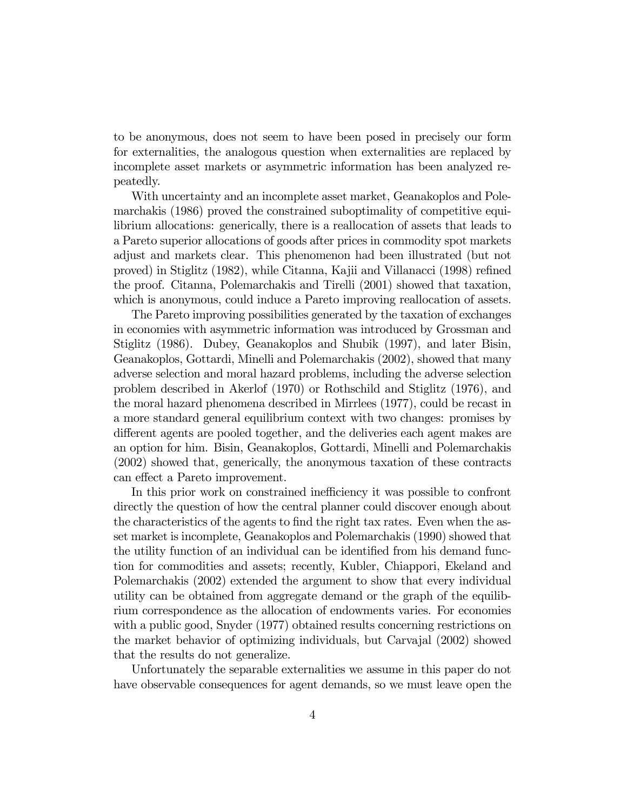to be anonymous, does not seem to have been posed in precisely our form for externalities, the analogous question when externalities are replaced by incomplete asset markets or asymmetric information has been analyzed repeatedly.

With uncertainty and an incomplete asset market, Geanakoplos and Polemarchakis (1986) proved the constrained suboptimality of competitive equilibrium allocations: generically, there is a reallocation of assets that leads to a Pareto superior allocations of goods after prices in commodity spot markets adjust and markets clear. This phenomenon had been illustrated (but not proved) in Stiglitz (1982), while Citanna, Kajii and Villanacci (1998) refined the proof. Citanna, Polemarchakis and Tirelli (2001) showed that taxation, which is anonymous, could induce a Pareto improving reallocation of assets.

The Pareto improving possibilities generated by the taxation of exchanges in economies with asymmetric information was introduced by Grossman and Stiglitz (1986). Dubey, Geanakoplos and Shubik (1997), and later Bisin, Geanakoplos, Gottardi, Minelli and Polemarchakis (2002), showed that many adverse selection and moral hazard problems, including the adverse selection problem described in Akerlof (1970) or Rothschild and Stiglitz (1976), and the moral hazard phenomena described in Mirrlees (1977), could be recast in a more standard general equilibrium context with two changes: promises by different agents are pooled together, and the deliveries each agent makes are an option for him. Bisin, Geanakoplos, Gottardi, Minelli and Polemarchakis (2002) showed that, generically, the anonymous taxation of these contracts can effect a Pareto improvement.

In this prior work on constrained inefficiency it was possible to confront directly the question of how the central planner could discover enough about the characteristics of the agents to find the right tax rates. Even when the asset market is incomplete, Geanakoplos and Polemarchakis (1990) showed that the utility function of an individual can be identified from his demand function for commodities and assets; recently, Kubler, Chiappori, Ekeland and Polemarchakis (2002) extended the argument to show that every individual utility can be obtained from aggregate demand or the graph of the equilibrium correspondence as the allocation of endowments varies. For economies with a public good, Snyder (1977) obtained results concerning restrictions on the market behavior of optimizing individuals, but Carvajal (2002) showed that the results do not generalize.

Unfortunately the separable externalities we assume in this paper do not have observable consequences for agent demands, so we must leave open the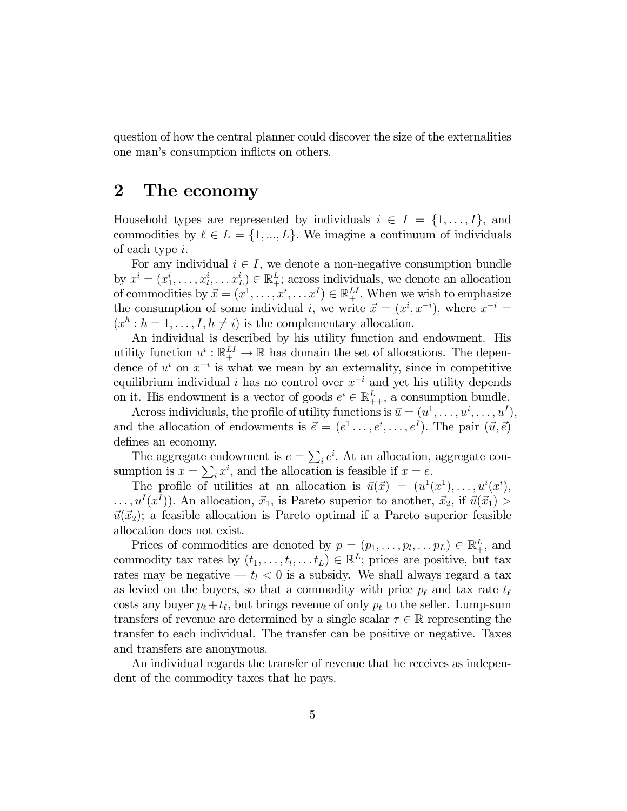question of how the central planner could discover the size of the externalities one man's consumption inflicts on others.

# 2 The economy

Household types are represented by individuals  $i \in I = \{1, \ldots, I\}$ , and commodities by  $\ell \in L = \{1, ..., L\}$ . We imagine a continuum of individuals of each type i.

For any individual  $i \in I$ , we denote a non-negative consumption bundle by  $x^i = (x_1^i, \ldots, x_l^i, \ldots, x_L^i) \in \mathbb{R}^L_+$ ; across individuals, we denote an allocation of commodities by  $\vec{x} = (x^1, \ldots, x^i, \ldots x^I) \in \mathbb{R}^{LI}_+$ . When we wish to emphasize the consumption of some individual i, we write  $\vec{x} = (x^i, x^{-i})$ , where  $x^{-i} =$  $(x^h : h = 1, \ldots, I, h \neq i)$  is the complementary allocation.

An individual is described by his utility function and endowment. His utility function  $u^i : \mathbb{R}^{LI}_+ \to \mathbb{R}$  has domain the set of allocations. The dependence of  $u^i$  on  $x^{-i}$  is what we mean by an externality, since in competitive equilibrium individual i has no control over  $x^{-i}$  and yet his utility depends on it. His endowment is a vector of goods  $e^i \in \mathbb{R}^L_{++}$ , a consumption bundle.

Across individuals, the profile of utility functions is  $\vec{u} = (u^1, \ldots, u^i, \ldots, u^I),$ and the allocation of endowments is  $\vec{e} = (e^1, \ldots, e^i, \ldots, e^I)$ . The pair  $(\vec{u}, \vec{e})$ defines an economy.

The aggregate endowment is  $e = \sum_i e^i$ . At an allocation, aggregate consumption is  $x = \sum_i x^i$ , and the allocation is feasible if  $x = e$ .

The profile of utilities at an allocation is  $\vec{u}(\vec{x}) = (u^1(x^1), \ldots, u^i(x^i)),$  $\dots, u^{I}(x^{I})$ ). An allocation,  $\vec{x}_1$ , is Pareto superior to another,  $\vec{x}_2$ , if  $\vec{u}(\vec{x}_1)$  $\vec{u}(\vec{x}_2)$ ; a feasible allocation is Pareto optimal if a Pareto superior feasible allocation does not exist.

Prices of commodities are denoted by  $p = (p_1, \ldots, p_l, \ldots, p_L) \in \mathbb{R}^L_+$ , and commodity tax rates by  $(t_1,\ldots,t_l,\ldots,t_L) \in \mathbb{R}^L$ ; prices are positive, but tax rates may be negative  $-t_l < 0$  is a subsidy. We shall always regard a tax as levied on the buyers, so that a commodity with price  $p_{\ell}$  and tax rate  $t_{\ell}$ costs any buyer  $p_{\ell} + t_{\ell}$ , but brings revenue of only  $p_{\ell}$  to the seller. Lump-sum transfers of revenue are determined by a single scalar  $\tau \in \mathbb{R}$  representing the transfer to each individual. The transfer can be positive or negative. Taxes and transfers are anonymous.

An individual regards the transfer of revenue that he receives as independent of the commodity taxes that he pays.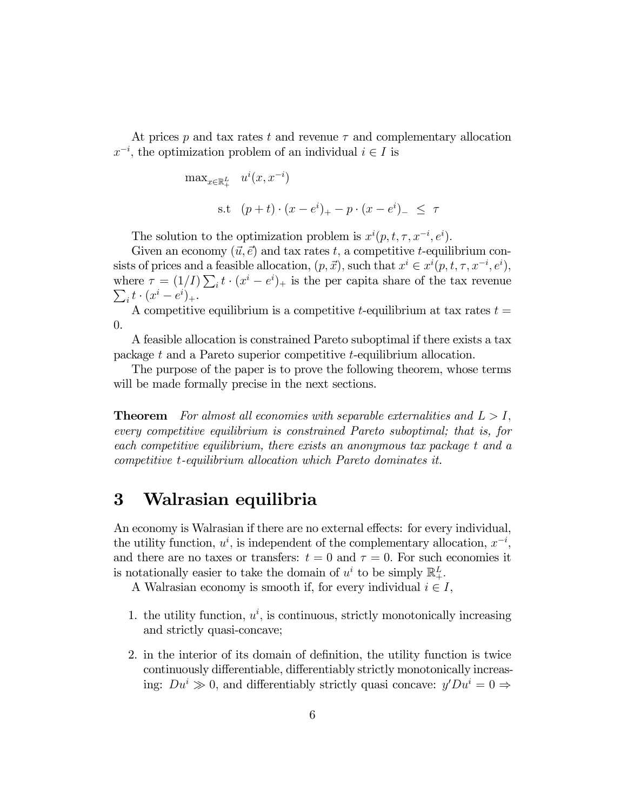At prices p and tax rates t and revenue  $\tau$  and complementary allocation  $x^{-i}$ , the optimization problem of an individual  $i \in I$  is

$$
\max_{x \in \mathbb{R}_+^L} u^i(x, x^{-i})
$$
  
s.t  $(p+t) \cdot (x - e^i)_{+} - p \cdot (x - e^i)_{-} \le \tau$ 

The solution to the optimization problem is  $x^{i}(p, t, \tau, x^{-i}, e^{i}).$ 

Given an economy  $(\vec{u}, \vec{e})$  and tax rates t, a competitive t-equilibrium consists of prices and a feasible allocation,  $(p, \vec{x})$ , such that  $x^i \in x^i(p, t, \tau, x^{-i}, e^i)$ , where  $\tau = (1/I) \sum_i t \cdot (x^i - e^i)_+$  is the per capita share of the tax revenue  $\sum_i t \cdot (x^i - e^i)_+.$ 

A competitive equilibrium is a competitive t-equilibrium at tax rates  $t =$ 0.

A feasible allocation is constrained Pareto suboptimal if there exists a tax package t and a Pareto superior competitive t-equilibrium allocation.

The purpose of the paper is to prove the following theorem, whose terms will be made formally precise in the next sections.

**Theorem** For almost all economies with separable externalities and  $L > I$ , every competitive equilibrium is constrained Pareto suboptimal; that is, for each competitive equilibrium, there exists an anonymous tax package t and a competitive t-equilibrium allocation which Pareto dominates it.

# 3 Walrasian equilibria

An economy is Walrasian if there are no external effects: for every individual, the utility function,  $u^i$ , is independent of the complementary allocation,  $x^{-i}$ , and there are no taxes or transfers:  $t = 0$  and  $\tau = 0$ . For such economies it is notationally easier to take the domain of  $u^i$  to be simply  $\mathbb{R}^L_+$ .

A Walrasian economy is smooth if, for every individual  $i \in I$ ,

- 1. the utility function,  $u^i$ , is continuous, strictly monotonically increasing and strictly quasi-concave;
- 2. in the interior of its domain of definition, the utility function is twice continuously differentiable, differentiably strictly monotonically increasing:  $Du^i \gg 0$ , and differentiably strictly quasi concave:  $y'Du^i = 0 \Rightarrow$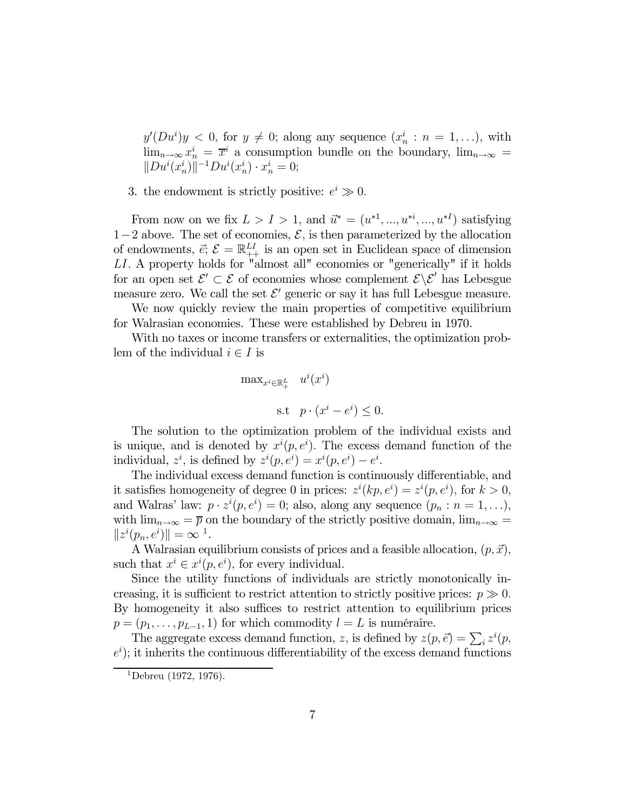$y'(Du^i)y < 0$ , for  $y \neq 0$ ; along any sequence  $(x_n^i : n = 1,...)$ , with  $\lim_{n\to\infty} x_n^i = \overline{x}^i$  a consumption bundle on the boundary,  $\lim_{n\to\infty} =$  $||Du^{i}(x_{n}^{i})||^{-1}Du^{i}(x_{n}^{i}) \cdot x_{n}^{i}=0;$ 

3. the endowment is strictly positive:  $e^i \gg 0$ .

From now on we fix  $L > I > 1$ , and  $\vec{u}^* = (u^{*1}, ..., u^{*i}, ..., u^{*I})$  satisfying  $1-2$  above. The set of economies,  $\mathcal{E}$ , is then parameterized by the allocation of endowments,  $\vec{e}$ ;  $\mathcal{E} = \mathbb{R}_{++}^{LL}$  is an open set in Euclidean space of dimension LI. A property holds for "almost all" economies or "generically" if it holds for an open set  $\mathcal{E}' \subset \mathcal{E}$  of economies whose complement  $\mathcal{E}\backslash \mathcal{E}'$  has Lebesgue measure zero. We call the set  $\mathcal{E}'$  generic or say it has full Lebesgue measure.

We now quickly review the main properties of competitive equilibrium for Walrasian economies. These were established by Debreu in 1970.

With no taxes or income transfers or externalities, the optimization problem of the individual  $i \in I$  is

$$
\max_{x^i \in \mathbb{R}_+^L} u^i(x^i)
$$
  
s.t  $p \cdot (x^i - e^i) \le 0$ .

The solution to the optimization problem of the individual exists and is unique, and is denoted by  $x^{i}(p, e^{i})$ . The excess demand function of the individual,  $z^i$ , is defined by  $z^i(p, e^i) = x^i(p, e^i) - e^i$ .

The individual excess demand function is continuously differentiable, and it satisfies homogeneity of degree 0 in prices:  $z^{i}(kp, e^{i}) = z^{i}(p, e^{i})$ , for  $k > 0$ , and Walras' law:  $p \cdot z^i(p, e^i) = 0$ ; also, along any sequence  $(p_n : n = 1, \ldots),$ with  $\lim_{n\to\infty}$  =  $\bar{p}$  on the boundary of the strictly positive domain,  $\lim_{n\to\infty}$  =  $||z^i(p_n, e^i)|| = \infty$ <sup>1</sup>.

A Walrasian equilibrium consists of prices and a feasible allocation,  $(p, \vec{x})$ , such that  $x^i \in x^i(p, e^i)$ , for every individual.

Since the utility functions of individuals are strictly monotonically increasing, it is sufficient to restrict attention to strictly positive prices:  $p \gg 0$ . By homogeneity it also suffices to restrict attention to equilibrium prices  $p = (p_1, \ldots, p_{L-1}, 1)$  for which commodity  $l = L$  is numéraire.

The aggregate excess demand function, z, is defined by  $z(p, \vec{e}) = \sum_i z^i(p, \vec{e})$  $(e<sup>i</sup>)$ ; it inherits the continuous differentiability of the excess demand functions

<sup>&</sup>lt;sup>1</sup>Debreu (1972, 1976).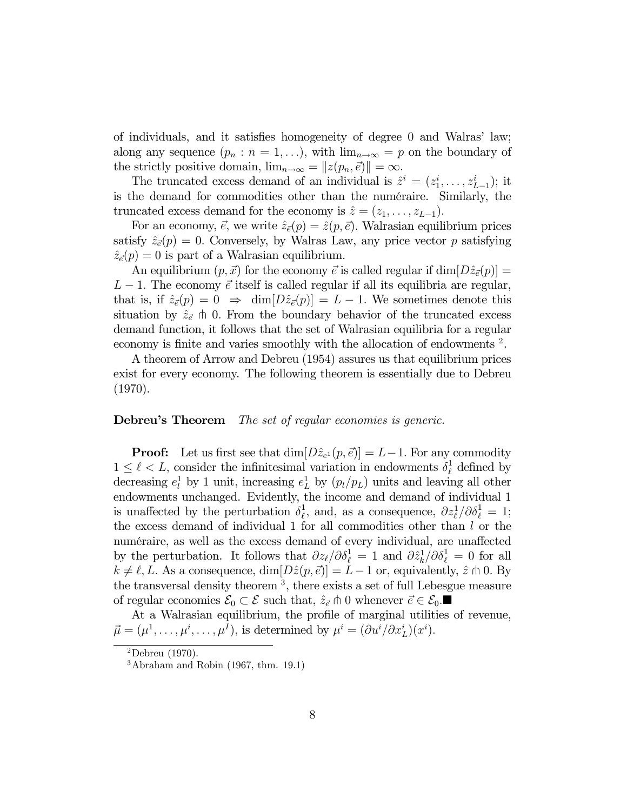of individuals, and it satisfies homogeneity of degree 0 and Walras' law; along any sequence  $(p_n : n = 1, \ldots)$ , with  $\lim_{n \to \infty} p$  on the boundary of the strictly positive domain,  $\lim_{n\to\infty} = ||z(p_n, \vec{e})|| = \infty$ .

The truncated excess demand of an individual is  $\hat{z}^i = (z_1^i, \ldots, z_{L-1}^i)$ ; it is the demand for commodities other than the numéraire. Similarly, the truncated excess demand for the economy is  $\hat{z} = (z_1, \ldots, z_{L-1}).$ 

For an economy,  $\vec{e}$ , we write  $\hat{z}_{\vec{e}}(p)=\hat{z}(p,\vec{e})$ . Walrasian equilibrium prices satisfy  $\hat{z}_{\vec{e}}(p)=0$ . Conversely, by Walras Law, any price vector p satisfying  $\hat{z}_{\vec{\epsilon}}(p)=0$  is part of a Walrasian equilibrium.

An equilibrium  $(p, \vec{x})$  for the economy  $\vec{e}$  is called regular if  $\dim[D\hat{z}_{\vec{e}}(p)] =$  $L-1$ . The economy  $\vec{e}$  itself is called regular if all its equilibria are regular, that is, if  $\hat{z}_{\vec{e}}(p)=0 \Rightarrow \dim |D\hat{z}_{\vec{e}}(p)| = L - 1$ . We sometimes denote this situation by  $\hat{z}_{\vec{e}} \uparrow 0$ . From the boundary behavior of the truncated excess demand function, it follows that the set of Walrasian equilibria for a regular economy is finite and varies smoothly with the allocation of endowments <sup>2</sup>.

A theorem of Arrow and Debreu (1954) assures us that equilibrium prices exist for every economy. The following theorem is essentially due to Debreu (1970).

#### Debreu's Theorem The set of regular economies is generic.

**Proof:** Let us first see that  $\dim[D\hat{z}_{e^1}(p,\vec{e})] = L-1$ . For any commodity  $1 \leq \ell \leq L$ , consider the infinitesimal variation in endowments  $\delta_{\ell}^1$  defined by decreasing  $e_l^1$  by 1 unit, increasing  $e_L^1$  by  $(p_l/p_L)$  units and leaving all other endowments unchanged. Evidently, the income and demand of individual 1 is unaffected by the perturbation  $\delta_{\ell}^1$ , and, as a consequence,  $\partial z_{\ell}^1/\partial \delta_{\ell}^1 = 1$ ; the excess demand of individual 1 for all commodities other than  $l$  or the numéraire, as well as the excess demand of every individual, are unaffected by the perturbation. It follows that  $\partial z_{\ell}/\partial \delta_{\ell}^1 = 1$  and  $\partial \hat{z}_{k}^1/\partial \delta_{\ell}^1 = 0$  for all  $k \neq \ell, L$ . As a consequence,  $\dim[D\hat{z}(p, \vec{e})] = L-1$  or, equivalently,  $\hat{z} \pitchfork 0$ . By the transversal density theorem  $3$ , there exists a set of full Lebesgue measure of regular economies  $\mathcal{E}_0 \subset \mathcal{E}$  such that,  $\hat{z}_{\vec{e}} \uparrow 0$  whenever  $\vec{e} \in \mathcal{E}_0$ .

At a Walrasian equilibrium, the profile of marginal utilities of revenue,  $\vec{\mu} = (\mu^1, \dots, \mu^i, \dots, \mu^I)$ , is determined by  $\mu^i = (\partial u^i / \partial x^i_L)(x^i)$ .

 $2$ Debreu (1970).

 $3$ Abraham and Robin (1967, thm. 19.1)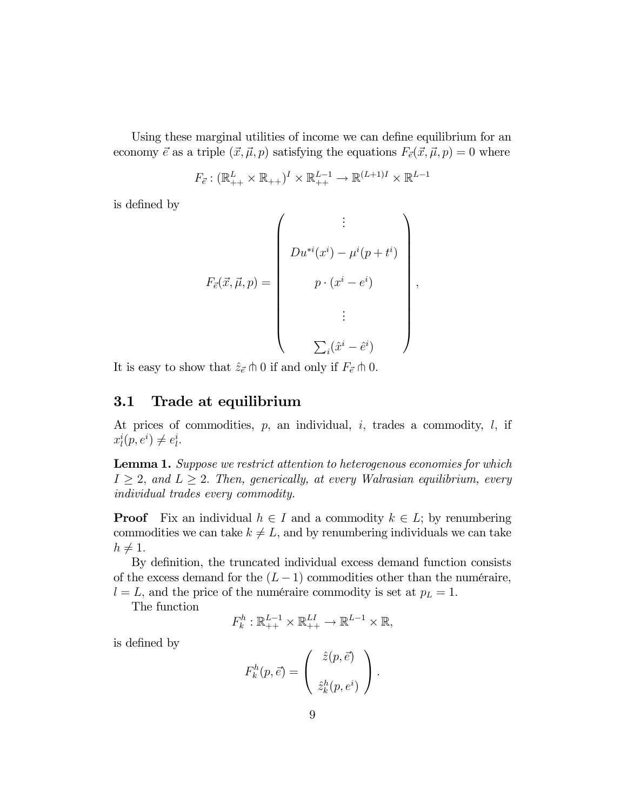Using these marginal utilities of income we can define equilibrium for an economy  $\vec{e}$  as a triple  $(\vec{x}, \vec{\mu}, p)$  satisfying the equations  $F_{\vec{e}}(\vec{x}, \vec{\mu}, p)=0$  where

$$
F_{\vec{e}} : (\mathbb{R}^L_{++} \times \mathbb{R}_{++})^I \times \mathbb{R}^{L-1}_{++} \to \mathbb{R}^{(L+1)I} \times \mathbb{R}^{L-1}
$$

is defined by

$$
F_{\vec{e}}(\vec{x}, \vec{\mu}, p) = \begin{pmatrix} \vdots & & & \\ & Du^{*i}(x^{i}) - \mu^{i}(p + t^{i}) & & \\ & p \cdot (x^{i} - e^{i}) & & \\ & & \vdots & \\ & & & \sum_{i} (\hat{x}^{i} - \hat{e}^{i}) & \end{pmatrix},
$$

It is easy to show that  $\hat{z}_{\vec{\epsilon}} \uparrow 0$  if and only if  $F_{\vec{\epsilon}} \uparrow 0$ .

### 3.1 Trade at equilibrium

At prices of commodities,  $p$ , an individual,  $i$ , trades a commodity,  $l$ , if  $x_l^i(p, e^i) \neq e_l^i$ .

**Lemma 1.** Suppose we restrict attention to heterogenous economies for which  $I \geq 2$ , and  $L \geq 2$ . Then, generically, at every Walrasian equilibrium, every individual trades every commodity.

**Proof** Fix an individual  $h \in I$  and a commodity  $k \in L$ ; by renumbering commodities we can take  $k \neq L$ , and by renumbering individuals we can take  $h \neq 1$ .

By definition, the truncated individual excess demand function consists of the excess demand for the  $(L-1)$  commodities other than the numéraire,  $l = L$ , and the price of the numéraire commodity is set at  $p_L = 1$ .

The function

$$
F_k^h: \mathbb{R}_{++}^{L-1} \times \mathbb{R}_{++}^{LI} \to \mathbb{R}^{L-1} \times \mathbb{R},
$$

is defined by

$$
F_k^h(p, \vec{e}) = \begin{pmatrix} \hat{z}(p, \vec{e}) \\ \hat{z}_k^h(p, e^i) \end{pmatrix}.
$$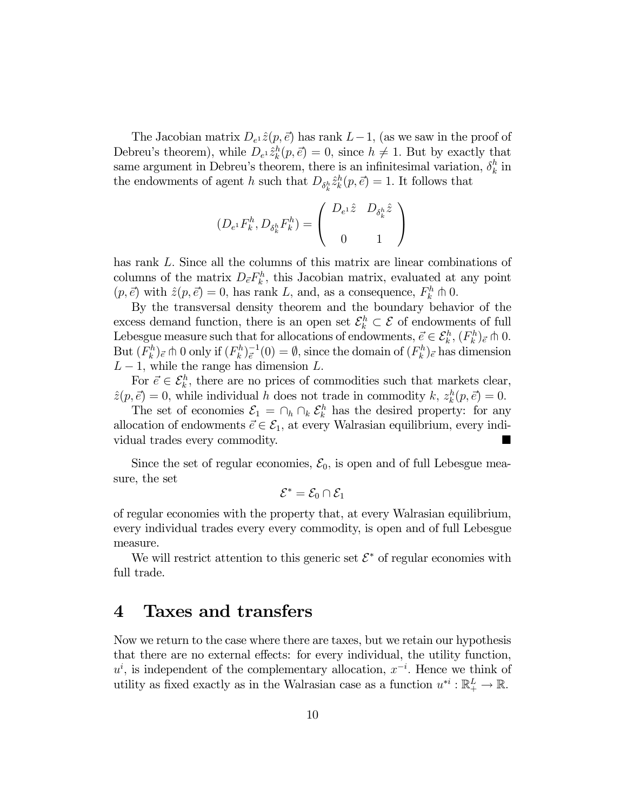The Jacobian matrix  $D_{e^1} \hat{z}(p, \vec{e})$  has rank  $L-1$ , (as we saw in the proof of Debreu's theorem), while  $D_{e^1}\hat{z}_k^h(p,\vec{e})=0$ , since  $h\neq 1$ . But by exactly that same argument in Debreu's theorem, there is an infinitesimal variation,  $\delta_k^h$  in the endowments of agent h such that  $D_{\delta_k^h} \hat{z}_k^h(p, \vec{e}) = 1$ . It follows that

$$
(D_{e^1}F_k^h, D_{\delta_k^h}F_k^h)=\left(\begin{array}{cc} D_{e^1}\hat{z} & D_{\delta_k^h}\hat{z} \\ \\ 0 & 1\end{array}\right)
$$

has rank L. Since all the columns of this matrix are linear combinations of columns of the matrix  $D_{\vec{e}} F_k^h$ , this Jacobian matrix, evaluated at any point  $(p, \vec{e})$  with  $\hat{z}(p, \vec{e}) = 0$ , has rank L, and, as a consequence,  $F_k^h \oplus 0$ .

By the transversal density theorem and the boundary behavior of the excess demand function, there is an open set  $\mathcal{E}_k^h \subset \mathcal{E}$  of endowments of full Lebesgue measure such that for allocations of endowments,  $\vec{e} \in \mathcal{E}_k^h$ ,  $(F_k^h)_{\vec{e}} \pitchfork 0$ . But  $(F_k^h)_{\vec{\epsilon}} \pitchfork 0$  only if  $(F_k^h)_{\vec{\epsilon}}^{-1}(0) = \emptyset$ , since the domain of  $(F_k^h)_{\vec{\epsilon}}$  has dimension  $L - 1$ , while the range has dimension L.

For  $\vec{e} \in \mathcal{E}_k^h$ , there are no prices of commodities such that markets clear,  $\hat{z}(p, \vec{e}) = 0$ , while individual h does not trade in commodity k,  $z_k^h(p, \vec{e}) = 0$ .

The set of economies  $\mathcal{E}_1 = \bigcap_h \bigcap_k \mathcal{E}_k^h$  has the desired property: for any allocation of endowments  $\vec{e} \in \mathcal{E}_1$ , at every Walrasian equilibrium, every individual trades every commodity.

Since the set of regular economies,  $\mathcal{E}_0$ , is open and of full Lebesgue measure, the set

$$
\mathcal{E}^*=\mathcal{E}_0\cap\mathcal{E}_1
$$

of regular economies with the property that, at every Walrasian equilibrium, every individual trades every every commodity, is open and of full Lebesgue measure.

We will restrict attention to this generic set  $\mathcal{E}^*$  of regular economies with full trade.

# 4 Taxes and transfers

Now we return to the case where there are taxes, but we retain our hypothesis that there are no external effects: for every individual, the utility function,  $u^i$ , is independent of the complementary allocation,  $x^{-i}$ . Hence we think of utility as fixed exactly as in the Walrasian case as a function  $u^{*i} : \mathbb{R}^L_+ \to \mathbb{R}$ .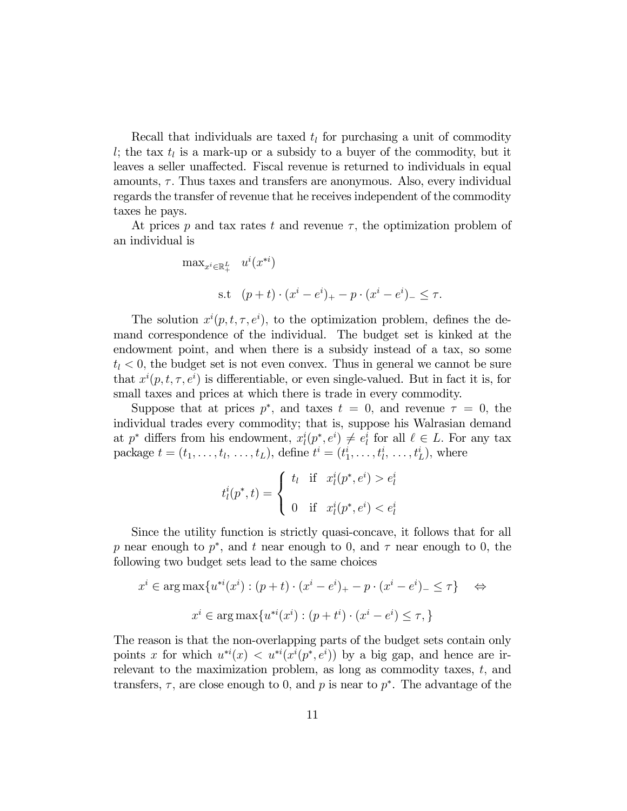Recall that individuals are taxed  $t_l$  for purchasing a unit of commodity l; the tax  $t_l$  is a mark-up or a subsidy to a buyer of the commodity, but it leaves a seller unaffected. Fiscal revenue is returned to individuals in equal amounts,  $\tau$ . Thus taxes and transfers are anonymous. Also, every individual regards the transfer of revenue that he receives independent of the commodity taxes he pays.

At prices p and tax rates t and revenue  $\tau$ , the optimization problem of an individual is

$$
\max_{x^i \in \mathbb{R}_+^L} u^i(x^{*i})
$$
  
s.t  $(p+t) \cdot (x^i - e^i)_{+} - p \cdot (x^i - e^i)_{-} \le \tau$ .

The solution  $x^{i}(p, t, \tau, e^{i})$ , to the optimization problem, defines the demand correspondence of the individual. The budget set is kinked at the endowment point, and when there is a subsidy instead of a tax, so some  $t<sub>l</sub> < 0$ , the budget set is not even convex. Thus in general we cannot be sure that  $x^{i}(p, t, \tau, e^{i})$  is differentiable, or even single-valued. But in fact it is, for small taxes and prices at which there is trade in every commodity.

Suppose that at prices  $p^*$ , and taxes  $t = 0$ , and revenue  $\tau = 0$ , the individual trades every commodity; that is, suppose his Walrasian demand at  $p^*$  differs from his endowment,  $x_l^i(p^*, e^i) \neq e_l^i$  for all  $\ell \in L$ . For any tax package  $t = (t_1, ..., t_l, ..., t_L)$ , define  $t^i = (t^i_1, ..., t^i_l, ..., t^i_L)$ , where

$$
t_l^i(p^*, t) = \begin{cases} t_l & \text{if } x_l^i(p^*, e^i) > e_l^i \\ 0 & \text{if } x_l^i(p^*, e^i) < e_l^i \end{cases}
$$

Since the utility function is strictly quasi-concave, it follows that for all p near enough to  $p^*$ , and t near enough to 0, and  $\tau$  near enough to 0, the following two budget sets lead to the same choices

$$
x^{i} \in \arg\max \{ u^{*i}(x^{i}) : (p+t) \cdot (x^{i} - e^{i})_{+} - p \cdot (x^{i} - e^{i})_{-} \leq \tau \} \iff
$$

$$
x^{i} \in \arg\max \{ u^{*i}(x^{i}) : (p+t^{i}) \cdot (x^{i} - e^{i}) \leq \tau, \}
$$

The reason is that the non-overlapping parts of the budget sets contain only points x for which  $u^{*i}(x) < u^{*i}(x^{i}(p^{*}, e^{i}))$  by a big gap, and hence are irrelevant to the maximization problem, as long as commodity taxes,  $t$ , and transfers,  $\tau$ , are close enough to 0, and p is near to p<sup>\*</sup>. The advantage of the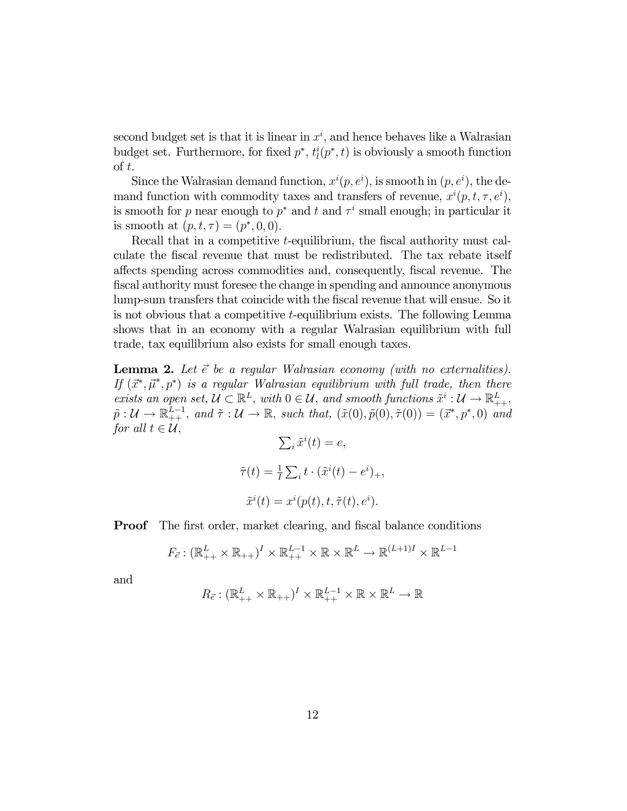second budget set is that it is linear in  $x^i$ , and hence behaves like a Walrasian budget set. Furthermore, for fixed  $p^*, t^i_l(p^*, t)$  is obviously a smooth function of t.

Since the Walrasian demand function,  $x^{i}(p, e^{i})$ , is smooth in  $(p, e^{i})$ , the demand function with commodity taxes and transfers of revenue,  $x^{i}(p, t, \tau, e^{i}),$ is smooth for p near enough to  $p^*$  and t and  $\tau^i$  small enough; in particular it is smooth at  $(p, t, \tau) = (p^*, 0, 0)$ .

Recall that in a competitive t-equilibrium, the fiscal authority must calculate the fiscal revenue that must be redistributed. The tax rebate itself affects spending across commodities and, consequently, fiscal revenue. The fiscal authority must foresee the change in spending and announce anonymous lump-sum transfers that coincide with the fiscal revenue that will ensue. So it is not obvious that a competitive t-equilibrium exists. The following Lemma shows that in an economy with a regular Walrasian equilibrium with full trade, tax equilibrium also exists for small enough taxes.

**Lemma 2.** Let  $\vec{e}$  be a regular Walrasian economy (with no externalities). If  $(\vec{x}^*, \vec{\mu}^*, p^*)$  is a regular Walrasian equilibrium with full trade, then there exists an open set,  $\mathcal{U} \subset \mathbb{R}^L$ , with  $0 \in \mathcal{U}$ , and smooth functions  $\tilde{x}^i : \mathcal{U} \to \mathbb{R}^L_{++}$ ,  $\tilde{p}: \mathcal{U} \to \mathbb{R}_{++}^{L-1}$ , and  $\tilde{\tau}: \mathcal{U} \to \mathbb{R}$ , such that,  $(\tilde{x}(0), \tilde{p}(0), \tilde{\tau}(0)) = (\tilde{x}^*, p^*, 0)$  and for all  $t \in \mathcal{U}$ ,  $\sum_{i}$ 

$$
\sum_{i} \tilde{x}^{i}(t) = e,
$$
  

$$
\tilde{\tau}(t) = \frac{1}{I} \sum_{i} t \cdot (\tilde{x}^{i}(t) - e^{i})_{+},
$$
  

$$
\tilde{x}^{i}(t) = x^{i}(p(t), t, \tilde{\tau}(t), e^{i}).
$$

Proof The first order, market clearing, and fiscal balance conditions

$$
F_{\vec{e}} : (\mathbb{R}^L_{++} \times \mathbb{R}_{++})^I \times \mathbb{R}^{L-1}_{++} \times \mathbb{R} \times \mathbb{R}^L \to \mathbb{R}^{(L+1)I} \times \mathbb{R}^{L-1}
$$

and

$$
R_{\vec{e}} : (\mathbb{R}^L_{++} \times \mathbb{R}_{++})^I \times \mathbb{R}^{L-1}_{++} \times \mathbb{R} \times \mathbb{R}^L \to \mathbb{R}
$$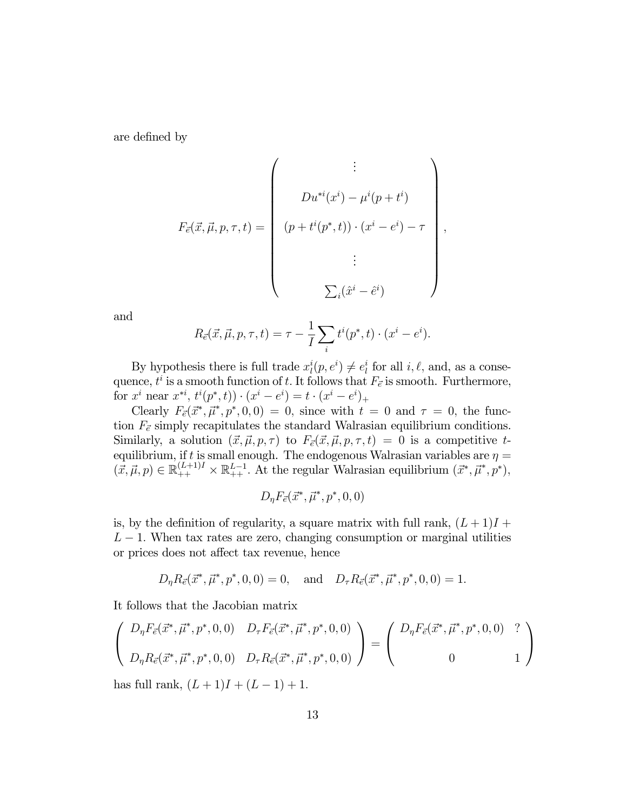are defined by

$$
F_{\vec{e}}(\vec{x}, \vec{\mu}, p, \tau, t) = \begin{pmatrix} \vdots & & & \\ & Du^{*i}(x^{i}) - \mu^{i}(p + t^{i}) & \\ & (p + t^{i}(p^{*}, t)) \cdot (x^{i} - e^{i}) - \tau & \\ & & \vdots & \\ & & \sum_{i} (\hat{x}^{i} - \hat{e}^{i}) & \end{pmatrix},
$$

and

$$
R_{\vec{e}}(\vec{x}, \vec{\mu}, p, \tau, t) = \tau - \frac{1}{I} \sum_{i} t^{i} (p^{*}, t) \cdot (x^{i} - e^{i}).
$$

By hypothesis there is full trade  $x_i^i(p, e^i) \neq e_i^i$  for all  $i, \ell$ , and, as a consequence,  $t^i$  is a smooth function of t. It follows that  $F_{\vec{\epsilon}}$  is smooth. Furthermore, for  $x^i$  near  $x^{*i}$ ,  $t^i(p^*, t)$ ) ·  $(x^i - e^i) = t \cdot (x^i - e^i)$ +

Clearly  $F_{\vec{e}}(\vec{x}^*, \vec{\mu}^*, p^*, 0, 0) = 0$ , since with  $t = 0$  and  $\tau = 0$ , the function  $F_{\vec{e}}$  simply recapitulates the standard Walrasian equilibrium conditions. Similarly, a solution  $(\vec{x}, \vec{\mu}, p, \tau)$  to  $F_{\vec{e}}(\vec{x}, \vec{\mu}, p, \tau, t) = 0$  is a competitive tequilibrium, if t is small enough. The endogenous Walrasian variables are  $\eta =$  $(\vec{x}, \vec{\mu}, p) \in \mathbb{R}_{++}^{(L+1)I} \times \mathbb{R}_{++}^{L-1}$ . At the regular Walrasian equilibrium  $(\vec{x}^*, \vec{\mu}^*, p^*)$ ,

$$
D_{\eta}F_{\vec{e}}(\vec{x}^*, \vec{\mu}^*, p^*, 0, 0)
$$

is, by the definition of regularity, a square matrix with full rank,  $(L+1)I +$  $L - 1$ . When tax rates are zero, changing consumption or marginal utilities or prices does not affect tax revenue, hence

$$
D_{\eta}R_{\vec{e}}(\vec{x}^*,\vec{\mu}^*,p^*,0,0)=0
$$
, and  $D_{\tau}R_{\vec{e}}(\vec{x}^*,\vec{\mu}^*,p^*,0,0)=1$ .

It follows that the Jacobian matrix

$$
\begin{pmatrix}\nD_{\eta}F_{\vec{e}}(\vec{x}^*, \vec{\mu}^*, p^*, 0, 0) & D_{\tau}F_{\vec{e}}(\vec{x}^*, \vec{\mu}^*, p^*, 0, 0) \\
D_{\eta}R_{\vec{e}}(\vec{x}^*, \vec{\mu}^*, p^*, 0, 0) & D_{\tau}R_{\vec{e}}(\vec{x}^*, \vec{\mu}^*, p^*, 0, 0)\n\end{pmatrix} = \begin{pmatrix}\nD_{\eta}F_{\vec{e}}(\vec{x}^*, \vec{\mu}^*, p^*, 0, 0) & ? \\
0 & 1\n\end{pmatrix}
$$

has full rank,  $(L + 1)I + (L - 1) + 1$ .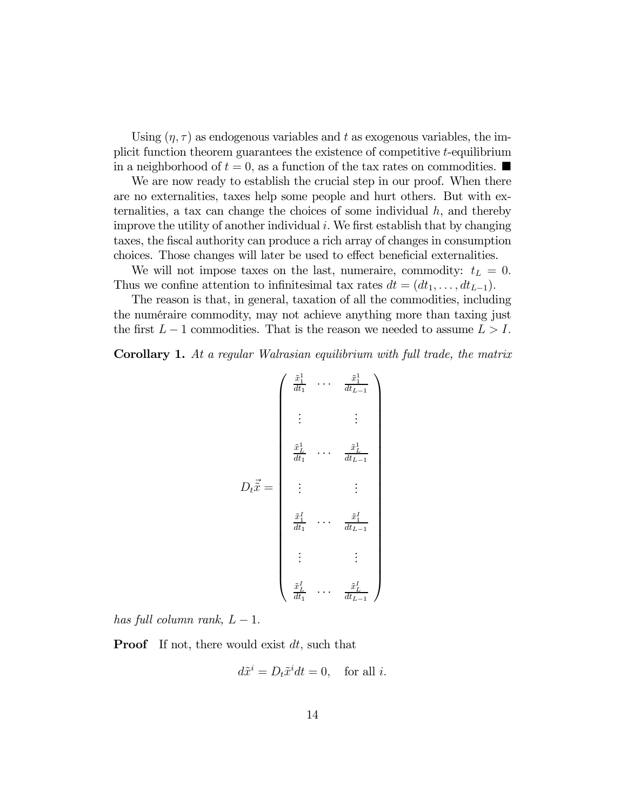Using  $(\eta, \tau)$  as endogenous variables and t as exogenous variables, the implicit function theorem guarantees the existence of competitive t-equilibrium in a neighborhood of  $t = 0$ , as a function of the tax rates on commodities.

We are now ready to establish the crucial step in our proof. When there are no externalities, taxes help some people and hurt others. But with externalities, a tax can change the choices of some individual  $h$ , and thereby improve the utility of another individual  $i$ . We first establish that by changing taxes, the fiscal authority can produce a rich array of changes in consumption choices. Those changes will later be used to effect beneficial externalities.

We will not impose taxes on the last, numeraire, commodity:  $t_L = 0$ . Thus we confine attention to infinitesimal tax rates  $dt = (dt_1, \ldots, dt_{L-1})$ .

The reason is that, in general, taxation of all the commodities, including the numéraire commodity, may not achieve anything more than taxing just the first  $L - 1$  commodities. That is the reason we needed to assume  $L > I$ .

Corollary 1. At a regular Walrasian equilibrium with full trade, the matrix

$$
D_t \vec{\tilde{x}} = \begin{pmatrix} \frac{\tilde{x}_1^1}{dt_1} & \cdots & \frac{\tilde{x}_1^1}{dt_{L-1}} \\ \vdots & & \vdots \\ \frac{\tilde{x}_L^1}{dt_1} & \cdots & \frac{\tilde{x}_L^1}{dt_{L-1}} \end{pmatrix}
$$
  

$$
\vdots \qquad \vdots \qquad \vdots
$$
  

$$
\frac{\tilde{x}_1^I}{dt_1} & \cdots & \frac{\tilde{x}_1^I}{dt_{L-1}} \end{pmatrix}
$$
  

$$
\vdots \qquad \vdots \qquad \vdots
$$
  

$$
\frac{\tilde{x}_L^I}{dt_1} & \cdots & \frac{\tilde{x}_L^I}{dt_{L-1}} \end{pmatrix}
$$

has full column rank,  $L - 1$ .

**Proof** If not, there would exist  $dt$ , such that

$$
d\tilde{x}^i = D_t \tilde{x}^i dt = 0, \text{ for all } i.
$$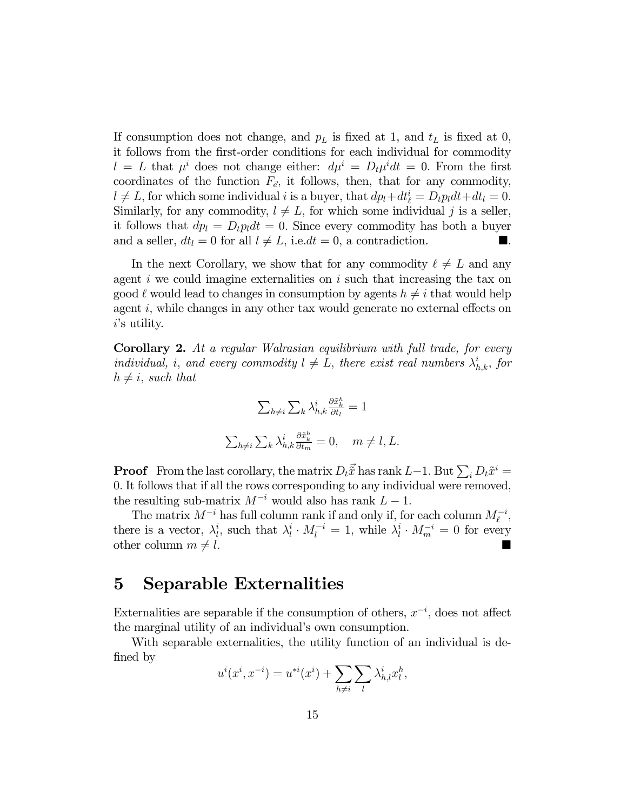If consumption does not change, and  $p<sub>L</sub>$  is fixed at 1, and  $t<sub>L</sub>$  is fixed at 0, it follows from the first-order conditions for each individual for commodity  $l = L$  that  $\mu^{i}$  does not change either:  $d\mu^{i} = D_{t}\mu^{i}dt = 0$ . From the first coordinates of the function  $F_{\vec{e}}$ , it follows, then, that for any commodity,  $l \neq L$ , for which some individual i is a buyer, that  $dp_l + dt^i_{\ell} = D_t p_l dt + dt_l = 0$ . Similarly, for any commodity,  $l \neq L$ , for which some individual j is a seller, it follows that  $dp_l = D_t p_l dt = 0$ . Since every commodity has both a buyer and a seller,  $dt_l = 0$  for all  $l \neq L$ , i.e.dt = 0, a contradiction.

In the next Corollary, we show that for any commodity  $\ell \neq L$  and any agent  $i$  we could imagine externalities on  $i$  such that increasing the tax on good  $\ell$  would lead to changes in consumption by agents  $h \neq i$  that would help agent i, while changes in any other tax would generate no external effects on i's utility.

Corollary 2. At a regular Walrasian equilibrium with full trade, for every individual, i, and every commodity  $l \neq L$ , there exist real numbers  $\lambda_{h,k}^{i}$ , for  $h \neq i$ , such that

$$
\sum_{h \neq i} \sum_{k} \lambda_{h,k}^{i} \frac{\partial \tilde{x}_{k}^{h}}{\partial t_{l}} = 1
$$
  

$$
\sum_{h \neq i} \sum_{k} \lambda_{h,k}^{i} \frac{\partial \tilde{x}_{k}^{h}}{\partial t_{m}} = 0, \quad m \neq l, L.
$$

**Proof** From the last corollary, the matrix  $D_t\vec{x}$  has rank  $L-1$ . But  $\sum_i D_t\tilde{x}^i$  = 0. It follows that if all the rows corresponding to any individual were removed, the resulting sub-matrix  $M^{-i}$  would also has rank  $L - 1$ .

The matrix  $M^{-i}$  has full column rank if and only if, for each column  $M_{\ell}^{-i}$ , there is a vector,  $\lambda_l^i$ , such that  $\lambda_l^i \cdot M_l^{-i} = 1$ , while  $\lambda_l^i \cdot M_m^{-i} = 0$  for every other column  $m \neq l$ .

# 5 Separable Externalities

Externalities are separable if the consumption of others,  $x^{-i}$ , does not affect the marginal utility of an individual's own consumption.

With separable externalities, the utility function of an individual is defined by

$$
u^{i}(x^{i}, x^{-i}) = u^{*i}(x^{i}) + \sum_{h \neq i} \sum_{l} \lambda_{h,l}^{i} x_{l}^{h},
$$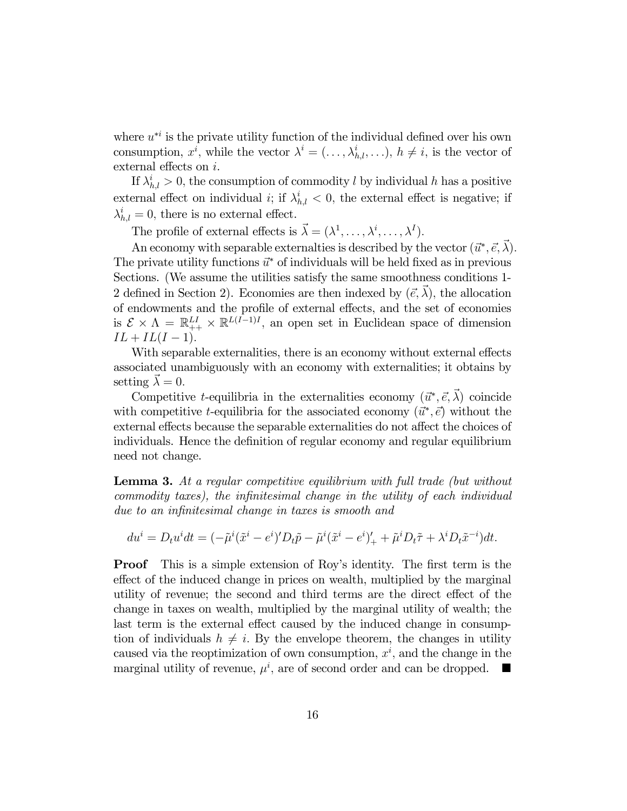where  $u^*$  is the private utility function of the individual defined over his own consumption,  $x^i$ , while the vector  $\lambda^i = (\ldots, \lambda^i_{h,l}, \ldots)$ ,  $h \neq i$ , is the vector of external effects on i.

If  $\lambda_{h,l}^i > 0$ , the consumption of commodity l by individual h has a positive external effect on individual *i*; if  $\lambda_{h,l}^i < 0$ , the external effect is negative; if  $\lambda^i_{h,l} = 0$ , there is no external effect.

The profile of external effects is  $\vec{\lambda} = (\lambda^1, \dots, \lambda^i, \dots, \lambda^I)$ .

An economy with separable externalties is described by the vector  $(\vec{u}^*, \vec{e}, \vec{\lambda})$ . The private utility functions  $\vec{u}^*$  of individuals will be held fixed as in previous Sections. (We assume the utilities satisfy the same smoothness conditions 1- 2 defined in Section 2). Economies are then indexed by  $(\vec{e}, \vec{\lambda})$ , the allocation of endowments and the profile of external effects, and the set of economies is  $\mathcal{E} \times \Lambda = \mathbb{R}^{LI}_{++} \times \mathbb{R}^{L(I-1)I}$ , an open set in Euclidean space of dimension  $IL + IL(I - 1).$ 

With separable externalities, there is an economy without external effects associated unambiguously with an economy with externalities; it obtains by setting  $\vec{\lambda} = 0$ .

Competitive *t*-equilibria in the externalities economy  $(\vec{u}^*, \vec{e}, \vec{\lambda})$  coincide with competitive t-equilibria for the associated economy  $(\vec{u}^*, \vec{e})$  without the external effects because the separable externalities do not affect the choices of individuals. Hence the definition of regular economy and regular equilibrium need not change.

**Lemma 3.** At a regular competitive equilibrium with full trade (but without commodity taxes), the infinitesimal change in the utility of each individual due to an infinitesimal change in taxes is smooth and

$$
du^{i} = D_{t}u^{i}dt = \left(-\tilde{\mu}^{i}(\tilde{x}^{i} - e^{i})^{'}D_{t}\tilde{p} - \tilde{\mu}^{i}(\tilde{x}^{i} - e^{i})'_{+} + \tilde{\mu}^{i}D_{t}\tilde{\tau} + \lambda^{i}D_{t}\tilde{x}^{-i}\right)dt.
$$

Proof This is a simple extension of Roy's identity. The first term is the effect of the induced change in prices on wealth, multiplied by the marginal utility of revenue; the second and third terms are the direct effect of the change in taxes on wealth, multiplied by the marginal utility of wealth; the last term is the external effect caused by the induced change in consumption of individuals  $h \neq i$ . By the envelope theorem, the changes in utility caused via the reoptimization of own consumption,  $x^i$ , and the change in the marginal utility of revenue,  $\mu^i$ , are of second order and can be dropped.  $\blacksquare$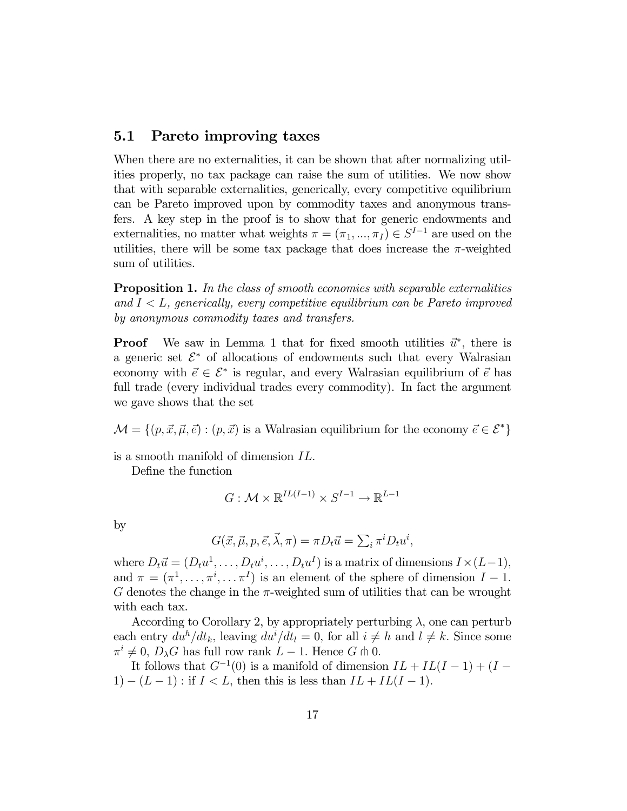#### 5.1 Pareto improving taxes

When there are no externalities, it can be shown that after normalizing utilities properly, no tax package can raise the sum of utilities. We now show that with separable externalities, generically, every competitive equilibrium can be Pareto improved upon by commodity taxes and anonymous transfers. A key step in the proof is to show that for generic endowments and externalities, no matter what weights  $\pi = (\pi_1, ..., \pi_I) \in S^{I-1}$  are used on the utilities, there will be some tax package that does increase the  $\pi$ -weighted sum of utilities.

**Proposition 1.** In the class of smooth economies with separable externalities and  $I < L$ , generically, every competitive equilibrium can be Pareto improved by anonymous commodity taxes and transfers.

**Proof** We saw in Lemma 1 that for fixed smooth utilities  $\vec{u}^*$ , there is a generic set  $\mathcal{E}^*$  of allocations of endowments such that every Walrasian economy with  $\vec{e} \in \mathcal{E}^*$  is regular, and every Walrasian equilibrium of  $\vec{e}$  has full trade (every individual trades every commodity). In fact the argument we gave shows that the set

 $\mathcal{M} = \{(p, \vec{x}, \vec{\mu}, \vec{e}) : (p, \vec{x}) \text{ is a Walrasian equilibrium for the economy } \vec{e} \in \mathcal{E}^*\}\$ 

is a smooth manifold of dimension IL.

Define the function

$$
G: \mathcal{M} \times \mathbb{R}^{IL(I-1)} \times S^{I-1} \to \mathbb{R}^{L-1}
$$

by

$$
G(\vec{x}, \vec{\mu}, p, \vec{e}, \vec{\lambda}, \pi) = \pi D_t \vec{u} = \sum_i \pi^i D_t u^i,
$$

where  $D_t \vec{u} = (D_t u^1, \dots, D_t u^i, \dots, D_t u^I)$  is a matrix of dimensions  $I \times (L-1)$ , and  $\pi = (\pi^1, \ldots, \pi^i, \ldots, \pi^I)$  is an element of the sphere of dimension  $I - 1$ .  $G$  denotes the change in the  $\pi$ -weighted sum of utilities that can be wrought with each tax.

According to Corollary 2, by appropriately perturbing  $\lambda$ , one can perturb each entry  $du^h/dt_k$ , leaving  $du^i/dt_l = 0$ , for all  $i \neq h$  and  $l \neq k$ . Since some  $\pi^{i} \neq 0$ ,  $D_{\lambda}G$  has full row rank  $L - 1$ . Hence  $G \pitchfork 0$ .

It follows that  $G^{-1}(0)$  is a manifold of dimension  $IL + IL(I - 1) + (I - 1)$ 1) − (L − 1) : if  $I < L$ , then this is less than  $IL + IL(I - 1)$ .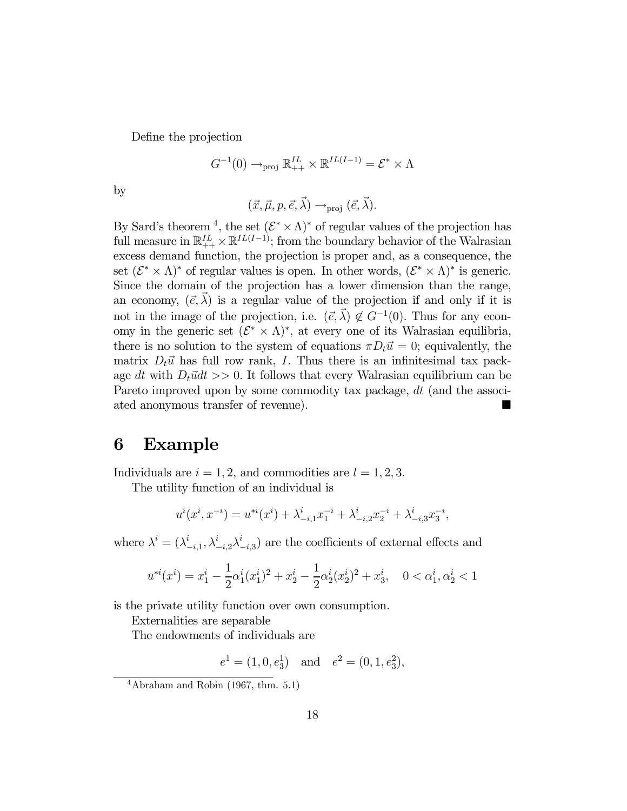Define the projection

$$
G^{-1}(0) \rightarrow_{\text{proj}} \mathbb{R}_{++}^{IL} \times \mathbb{R}^{IL(I-1)} = \mathcal{E}^* \times \Lambda
$$

by

$$
(\vec{x}, \vec{\mu}, p, \vec{e}, \vec{\lambda}) \rightarrow_{\text{proj}} (\vec{e}, \vec{\lambda}).
$$

By Sard's theorem <sup>4</sup>, the set  $(\mathcal{E}^* \times \Lambda)^*$  of regular values of the projection has full measure in  $\mathbb{R}_{++}^{IL} \times \mathbb{R}^{IL(I-1)}$ ; from the boundary behavior of the Walrasian excess demand function, the projection is proper and, as a consequence, the set  $({\mathcal{E}}^* \times \Lambda)^*$  of regular values is open. In other words,  $({\mathcal{E}}^* \times \Lambda)^*$  is generic. Since the domain of the projection has a lower dimension than the range, an economy,  $(\vec{e}, \vec{\lambda})$  is a regular value of the projection if and only if it is not in the image of the projection, i.e.  $(\vec{e}, \vec{\lambda}) \notin G^{-1}(0)$ . Thus for any economy in the generic set  $({\mathcal{E}}^* \times \Lambda)^*$ , at every one of its Walrasian equilibria, there is no solution to the system of equations  $\pi D_t \vec{u} = 0$ ; equivalently, the matrix  $D_t\vec{u}$  has full row rank, I. Thus there is an infinitesimal tax package dt with  $D_t \vec{u} dt >> 0$ . It follows that every Walrasian equilibrium can be Pareto improved upon by some commodity tax package, dt (and the associated anonymous transfer of revenue).

## 6 Example

Individuals are  $i = 1, 2$ , and commodities are  $l = 1, 2, 3$ .

The utility function of an individual is

$$
u^{i}(x^{i}, x^{-i}) = u^{*i}(x^{i}) + \lambda^{i}_{-i,1}x_{1}^{-i} + \lambda^{i}_{-i,2}x_{2}^{-i} + \lambda^{i}_{-i,3}x_{3}^{-i},
$$

where  $\lambda^i = (\lambda_{-i,1}^i, \lambda_{-i,2}^i, \lambda_{-i,3}^i)$  are the coefficients of external effects and

$$
u^{*i}(x^{i}) = x_{1}^{i} - \frac{1}{2}\alpha_{1}^{i}(x_{1}^{i})^{2} + x_{2}^{i} - \frac{1}{2}\alpha_{2}^{i}(x_{2}^{i})^{2} + x_{3}^{i}, \quad 0 < \alpha_{1}^{i}, \alpha_{2}^{i} < 1
$$

is the private utility function over own consumption.

Externalities are separable

The endowments of individuals are

$$
e^1 = (1, 0, e_3^1)
$$
 and  $e^2 = (0, 1, e_3^2)$ ,

 $4$ Abraham and Robin (1967, thm. 5.1)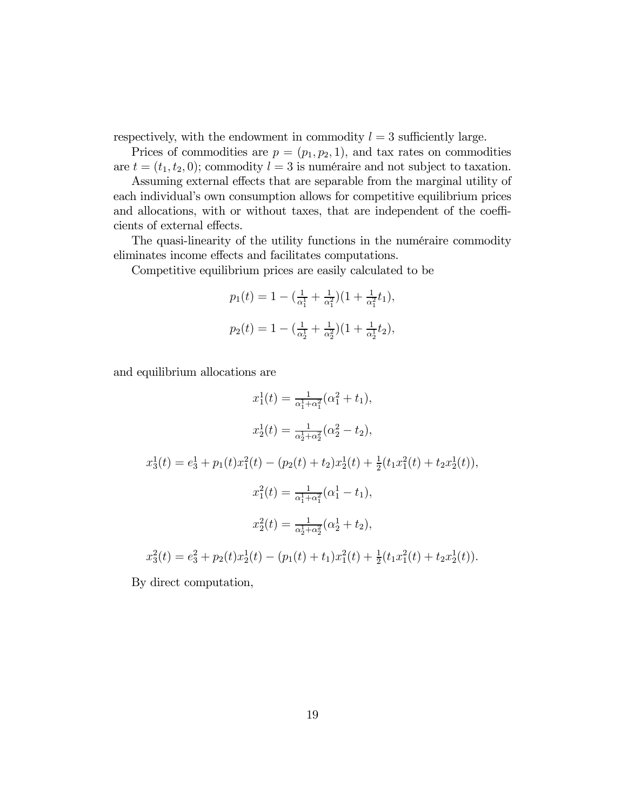respectively, with the endowment in commodity  $l = 3$  sufficiently large.

Prices of commodities are  $p = (p_1, p_2, 1)$ , and tax rates on commodities are  $t = (t_1, t_2, 0)$ ; commodity  $l = 3$  is numéraire and not subject to taxation.

Assuming external effects that are separable from the marginal utility of each individual's own consumption allows for competitive equilibrium prices and allocations, with or without taxes, that are independent of the coefficients of external effects.

The quasi-linearity of the utility functions in the numéraire commodity eliminates income effects and facilitates computations.

Competitive equilibrium prices are easily calculated to be

$$
p_1(t) = 1 - \left(\frac{1}{\alpha_1^1} + \frac{1}{\alpha_1^2}\right)(1 + \frac{1}{\alpha_1^2}t_1),
$$
  

$$
p_2(t) = 1 - \left(\frac{1}{\alpha_2^1} + \frac{1}{\alpha_2^2}\right)(1 + \frac{1}{\alpha_2^1}t_2),
$$

and equilibrium allocations are

$$
x_1^1(t) = \frac{1}{\alpha_1^1 + \alpha_1^2} (\alpha_1^2 + t_1),
$$
  
\n
$$
x_2^1(t) = \frac{1}{\alpha_2^1 + \alpha_2^2} (\alpha_2^2 - t_2),
$$
  
\n
$$
x_3^1(t) = e_3^1 + p_1(t)x_1^2(t) - (p_2(t) + t_2)x_2^1(t) + \frac{1}{2}(t_1x_1^2(t) + t_2x_2^1(t)),
$$
  
\n
$$
x_1^2(t) = \frac{1}{\alpha_1^1 + \alpha_1^2} (\alpha_1^1 - t_1),
$$
  
\n
$$
x_2^2(t) = \frac{1}{\alpha_2^1 + \alpha_2^2} (\alpha_2^1 + t_2),
$$
  
\n
$$
x_3^2(t) = e_3^2 + p_2(t)x_2^1(t) - (p_1(t) + t_1)x_1^2(t) + \frac{1}{2}(t_1x_1^2(t) + t_2x_2^1(t)).
$$

By direct computation,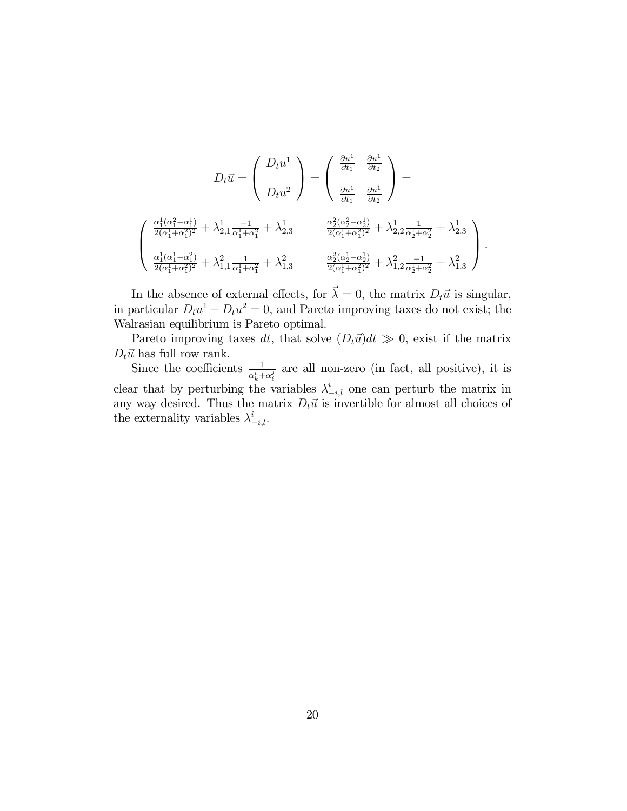$$
D_t \vec{u} = \begin{pmatrix} D_t u^1 \\ D_t u^2 \end{pmatrix} = \begin{pmatrix} \frac{\partial u^1}{\partial t_1} & \frac{\partial u^1}{\partial t_2} \\ \frac{\partial u^1}{\partial t_1} & \frac{\partial u^1}{\partial t_2} \end{pmatrix} =
$$

$$
\begin{pmatrix} \frac{\alpha_1^1 (\alpha_1^2 - \alpha_1^1)}{2(\alpha_1^1 + \alpha_1^2)^2} + \lambda_{2,1}^1 \frac{-1}{\alpha_1^1 + \alpha_1^2} + \lambda_{2,3}^1 & \frac{\alpha_2^2 (\alpha_2^2 - \alpha_2^1)}{2(\alpha_1^1 + \alpha_1^2)^2} + \lambda_{2,2}^1 \frac{1}{\alpha_2^1 + \alpha_2^2} + \lambda_{2,3}^1 \\ \frac{\alpha_1^1 (\alpha_1^1 - \alpha_1^2)}{2(\alpha_1^1 + \alpha_1^2)^2} + \lambda_{1,1}^2 \frac{1}{\alpha_1^1 + \alpha_1^2} + \lambda_{1,3}^2 & \frac{\alpha_2^2 (\alpha_2^1 - \alpha_2^1)}{2(\alpha_1^1 + \alpha_1^2)^2} + \lambda_{1,2}^2 \frac{-1}{\alpha_2^1 + \alpha_2^2} + \lambda_{1,3}^2 \end{pmatrix}.
$$

In the absence of external effects, for  $\vec{\lambda} = 0$ , the matrix  $D_t \vec{u}$  is singular, in particular  $D_t u^1 + D_t u^2 = 0$ , and Pareto improving taxes do not exist; the Walrasian equilibrium is Pareto optimal.

Pareto improving taxes dt, that solve  $(D_t\vec{u})dt \gg 0$ , exist if the matrix  $D_t\vec{u}$  has full row rank.

Since the coefficients  $\frac{1}{\alpha_k^i+\alpha_\ell^j}$  are all non-zero (in fact, all positive), it is clear that by perturbing the variables  $\lambda^i_{-i,l}$  one can perturb the matrix in any way desired. Thus the matrix  $D_t \vec{u}$  is invertible for almost all choices of the externality variables  $\lambda^i_{-i,l}$ .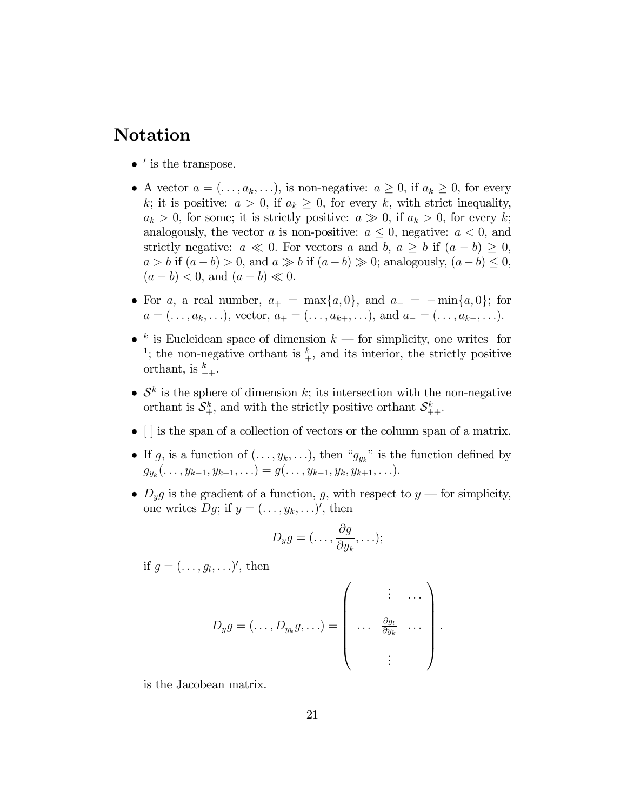# Notation

- $\bullet$  ' is the transpose.
- A vector  $a = (\ldots, a_k, \ldots)$ , is non-negative:  $a \geq 0$ , if  $a_k \geq 0$ , for every k; it is positive:  $a > 0$ , if  $a_k \geq 0$ , for every k, with strict inequality,  $a_k > 0$ , for some; it is strictly positive:  $a \gg 0$ , if  $a_k > 0$ , for every k; analogously, the vector a is non-positive:  $a \leq 0$ , negative:  $a < 0$ , and strictly negative:  $a \ll 0$ . For vectors a and b,  $a \geq b$  if  $(a - b) \geq 0$ ,  $a > b$  if  $(a - b) > 0$ , and  $a \gg b$  if  $(a - b) \gg 0$ ; analogously,  $(a - b) \leq 0$ ,  $(a - b) < 0$ , and  $(a - b) \ll 0$ .
- For a, a real number,  $a_{+} = \max\{a, 0\}$ , and  $a_{-} = -\min\{a, 0\}$ ; for  $a = (\ldots, a_k, \ldots),$  vector,  $a_+ = (\ldots, a_{k+}, \ldots),$  and  $a_- = (\ldots, a_{k-}, \ldots).$
- $k$  is Eucleidean space of dimension  $k$  for simplicity, one writes for <sup>1</sup>; the non-negative orthant is  $\frac{k}{+}$ , and its interior, the strictly positive orthant, is  $_{++}^k$ .
- $S<sup>k</sup>$  is the sphere of dimension k; its intersection with the non-negative orthant is  $S^k_+$ , and with the strictly positive orthant  $S^k_{++}$ .
- [ ] is the span of a collection of vectors or the column span of a matrix.
- If g, is a function of  $(\ldots, y_k, \ldots)$ , then " $g_{y_k}$ " is the function defined by  $g_{y_k}(\ldots,y_{k-1},y_{k+1},\ldots) = g(\ldots,y_{k-1},y_k,y_{k+1},\ldots).$
- $D_y g$  is the gradient of a function, g, with respect to  $y$  for simplicity, one writes  $Dg$ ; if  $y = (\ldots, y_k, \ldots)'$ , then

$$
D_y g = (\ldots, \frac{\partial g}{\partial y_k}, \ldots);
$$

if  $g = (\ldots, g_l, \ldots)'$ , then

$$
D_y g = (\ldots, D_{y_k} g, \ldots) = \left( \begin{array}{ccc} \vdots & \ldots \\ \ldots & \frac{\partial g_l}{\partial y_k} & \ldots \\ \vdots & \ddots \end{array} \right).
$$

is the Jacobean matrix.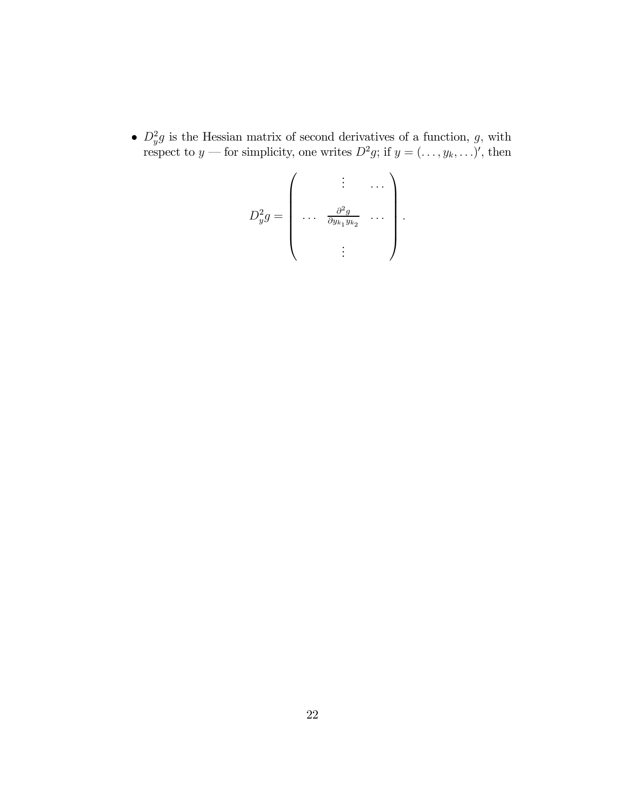•  $D_y^2 g$  is the Hessian matrix of second derivatives of a function, g, with respect to  $y$  — for simplicity, one writes  $D^2 g$ ; if  $y = (\ldots, y_k, \ldots)'$ , then

$$
D_y^2 g = \left(\begin{array}{ccc} \vdots & \dots \\ \dots & \frac{\partial^2 g}{\partial y_{k_1} y_{k_2}} & \dots \\ \vdots & \ddots \end{array}\right).
$$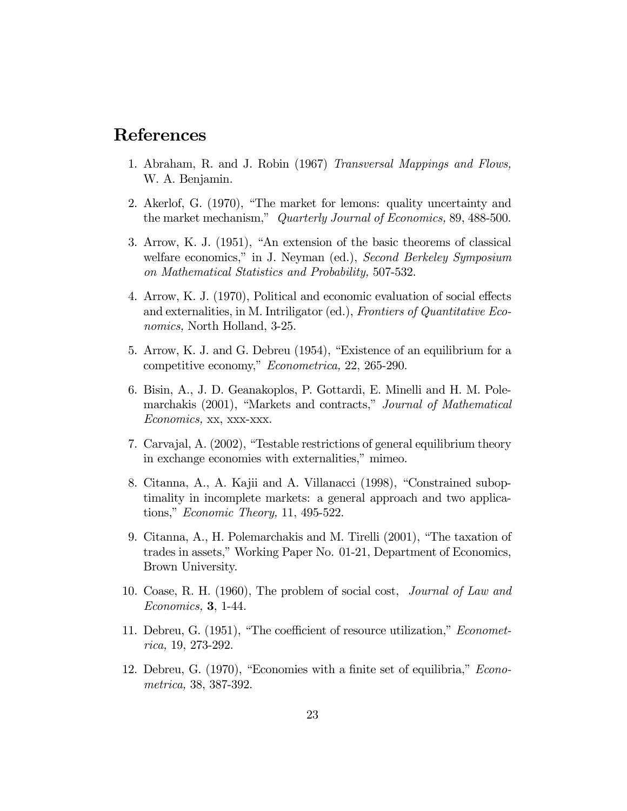# References

- 1. Abraham, R. and J. Robin (1967) Transversal Mappings and Flows, W. A. Benjamin.
- 2. Akerlof, G. (1970), "The market for lemons: quality uncertainty and the market mechanism," Quarterly Journal of Economics, 89, 488-500.
- 3. Arrow, K. J. (1951), "An extension of the basic theorems of classical welfare economics," in J. Neyman (ed.), Second Berkeley Symposium on Mathematical Statistics and Probability, 507-532.
- 4. Arrow, K. J. (1970), Political and economic evaluation of social effects and externalities, in M. Intriligator (ed.), Frontiers of Quantitative Economics, North Holland, 3-25.
- 5. Arrow, K. J. and G. Debreu (1954), "Existence of an equilibrium for a competitive economy," Econometrica, 22, 265-290.
- 6. Bisin, A., J. D. Geanakoplos, P. Gottardi, E. Minelli and H. M. Polemarchakis (2001), "Markets and contracts," Journal of Mathematical Economics, xx, xxx-xxx.
- 7. Carvajal, A. (2002), "Testable restrictions of general equilibrium theory in exchange economies with externalities," mimeo.
- 8. Citanna, A., A. Kajii and A. Villanacci (1998), "Constrained suboptimality in incomplete markets: a general approach and two applications," Economic Theory, 11, 495-522.
- 9. Citanna, A., H. Polemarchakis and M. Tirelli (2001), "The taxation of trades in assets," Working Paper No. 01-21, Department of Economics, Brown University.
- 10. Coase, R. H. (1960), The problem of social cost, Journal of Law and Economics, 3, 1-44.
- 11. Debreu, G. (1951), "The coefficient of resource utilization," Econometrica, 19, 273-292.
- 12. Debreu, G. (1970), "Economies with a finite set of equilibria," Econometrica, 38, 387-392.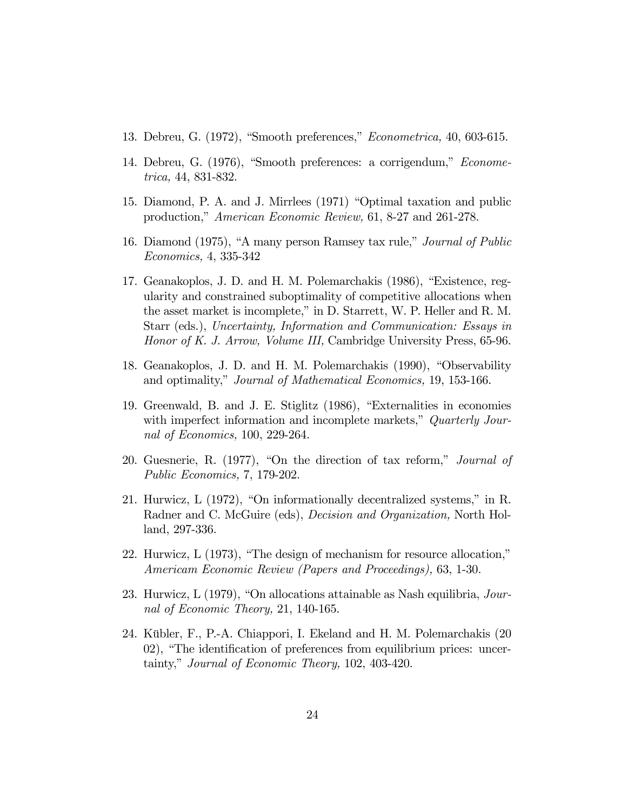- 13. Debreu, G. (1972), "Smooth preferences," Econometrica, 40, 603-615.
- 14. Debreu, G. (1976), "Smooth preferences: a corrigendum," Econometrica, 44, 831-832.
- 15. Diamond, P. A. and J. Mirrlees (1971) "Optimal taxation and public production," American Economic Review, 61, 8-27 and 261-278.
- 16. Diamond (1975), "A many person Ramsey tax rule," Journal of Public Economics, 4, 335-342
- 17. Geanakoplos, J. D. and H. M. Polemarchakis (1986), "Existence, regularity and constrained suboptimality of competitive allocations when the asset market is incomplete," in D. Starrett, W. P. Heller and R. M. Starr (eds.), Uncertainty, Information and Communication: Essays in Honor of K. J. Arrow, Volume III, Cambridge University Press, 65-96.
- 18. Geanakoplos, J. D. and H. M. Polemarchakis (1990), "Observability and optimality," Journal of Mathematical Economics, 19, 153-166.
- 19. Greenwald, B. and J. E. Stiglitz (1986), "Externalities in economies with imperfect information and incomplete markets," Quarterly Journal of Economics, 100, 229-264.
- 20. Guesnerie, R. (1977), "On the direction of tax reform," Journal of Public Economics, 7, 179-202.
- 21. Hurwicz, L (1972), "On informationally decentralized systems," in R. Radner and C. McGuire (eds), *Decision and Organization*, North Holland, 297-336.
- 22. Hurwicz, L (1973), "The design of mechanism for resource allocation," Americam Economic Review (Papers and Proceedings), 63, 1-30.
- 23. Hurwicz, L (1979), "On allocations attainable as Nash equilibria, Journal of Economic Theory, 21, 140-165.
- 24. Kübler, F., P.-A. Chiappori, I. Ekeland and H. M. Polemarchakis (20 02), "The identification of preferences from equilibrium prices: uncertainty," Journal of Economic Theory, 102, 403-420.